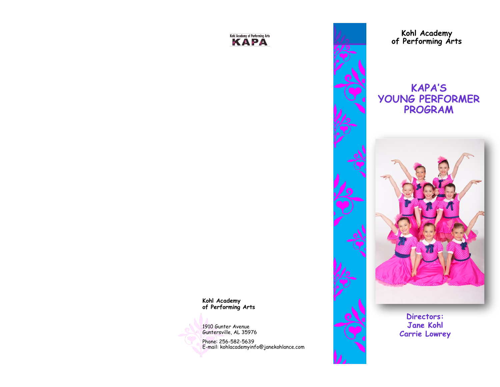#### Kohl Academy of Performing Arts KAPA



**Kohl Academy of Performing Arts**

# **KAPA'S YOUNG PERFORMER PROGRAM**



**Kohl Academy of Performing Arts**



1910 Gunter Avenue Guntersville, AL 35976

Phone: 256-582-5639 E-mail: kohlacademyinfo@janekohlance.com

Directors: Jane Kohl **Carrie Lowrey**